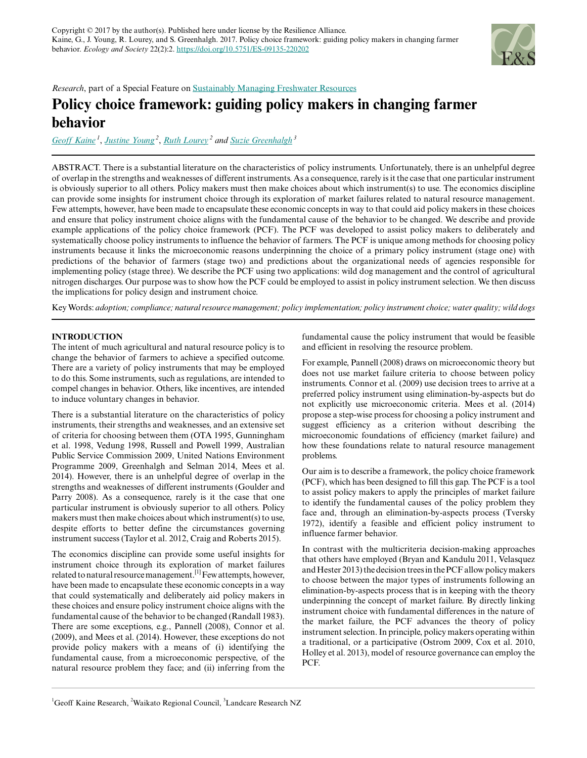

*Research*, part of a Special Feature on [Sustainably Managing Freshwater Resources](https://www.ecologyandsociety.org/viewissue.php?sf=121)

# **Policy choice framework: guiding policy makers in changing farmer behavior**

*[Geoff Kaine](mailto:geoff@geoffkaineresearch.com)<sup>1</sup>* , *[Justine Young](mailto:Justine.Young@dairynz.co.nz)<sup>2</sup>* , *[Ruth Lourey](mailto:ruth.lourey@waikatoregion.govt.nz)<sup>2</sup> and [Suzie Greenhalgh](mailto:greenhalghs@landcareresearch.co.nz)<sup>3</sup>*

ABSTRACT. There is a substantial literature on the characteristics of policy instruments. Unfortunately, there is an unhelpful degree of overlap in the strengths and weaknesses of different instruments. As a consequence, rarely is it the case that one particular instrument is obviously superior to all others. Policy makers must then make choices about which instrument(s) to use. The economics discipline can provide some insights for instrument choice through its exploration of market failures related to natural resource management. Few attempts, however, have been made to encapsulate these economic concepts in way to that could aid policy makers in these choices and ensure that policy instrument choice aligns with the fundamental cause of the behavior to be changed. We describe and provide example applications of the policy choice framework (PCF). The PCF was developed to assist policy makers to deliberately and systematically choose policy instruments to influence the behavior of farmers. The PCF is unique among methods for choosing policy instruments because it links the microeconomic reasons underpinning the choice of a primary policy instrument (stage one) with predictions of the behavior of farmers (stage two) and predictions about the organizational needs of agencies responsible for implementing policy (stage three). We describe the PCF using two applications: wild dog management and the control of agricultural nitrogen discharges. Our purpose was to show how the PCF could be employed to assist in policy instrument selection. We then discuss the implications for policy design and instrument choice.

Key Words: *adoption; compliance; natural resource management; policy implementation; policy instrument choice; water quality; wild dogs*

### **INTRODUCTION**

The intent of much agricultural and natural resource policy is to change the behavior of farmers to achieve a specified outcome. There are a variety of policy instruments that may be employed to do this. Some instruments, such as regulations, are intended to compel changes in behavior. Others, like incentives, are intended to induce voluntary changes in behavior.

There is a substantial literature on the characteristics of policy instruments, their strengths and weaknesses, and an extensive set of criteria for choosing between them (OTA 1995, Gunningham et al. 1998, Vedung 1998, Russell and Powell 1999, Australian Public Service Commission 2009, United Nations Environment Programme 2009, Greenhalgh and Selman 2014, Mees et al. 2014). However, there is an unhelpful degree of overlap in the strengths and weaknesses of different instruments (Goulder and Parry 2008). As a consequence, rarely is it the case that one particular instrument is obviously superior to all others. Policy makers must then make choices about which instrument(s) to use, despite efforts to better define the circumstances governing instrument success (Taylor et al. 2012, Craig and Roberts 2015).

The economics discipline can provide some useful insights for instrument choice through its exploration of market failures related to natural resource management.[1] Few attempts, however, have been made to encapsulate these economic concepts in a way that could systematically and deliberately aid policy makers in these choices and ensure policy instrument choice aligns with the fundamental cause of the behavior to be changed (Randall 1983). There are some exceptions, e.g., Pannell (2008), Connor et al. (2009), and Mees et al. (2014). However, these exceptions do not provide policy makers with a means of (i) identifying the fundamental cause, from a microeconomic perspective, of the natural resource problem they face; and (ii) inferring from the fundamental cause the policy instrument that would be feasible and efficient in resolving the resource problem.

For example, Pannell (2008) draws on microeconomic theory but does not use market failure criteria to choose between policy instruments. Connor et al. (2009) use decision trees to arrive at a preferred policy instrument using elimination-by-aspects but do not explicitly use microeconomic criteria. Mees et al. (2014) propose a step-wise process for choosing a policy instrument and suggest efficiency as a criterion without describing the microeconomic foundations of efficiency (market failure) and how these foundations relate to natural resource management problems.

Our aim is to describe a framework, the policy choice framework (PCF), which has been designed to fill this gap. The PCF is a tool to assist policy makers to apply the principles of market failure to identify the fundamental causes of the policy problem they face and, through an elimination-by-aspects process (Tversky 1972), identify a feasible and efficient policy instrument to influence farmer behavior.

In contrast with the multicriteria decision-making approaches that others have employed (Bryan and Kandulu 2011, Velasquez and Hester 2013) the decision trees in the PCF allow policy makers to choose between the major types of instruments following an elimination-by-aspects process that is in keeping with the theory underpinning the concept of market failure. By directly linking instrument choice with fundamental differences in the nature of the market failure, the PCF advances the theory of policy instrument selection. In principle, policy makers operating within a traditional, or a participative (Ostrom 2009, Cox et al. 2010, Holley et al. 2013), model of resource governance can employ the PCF.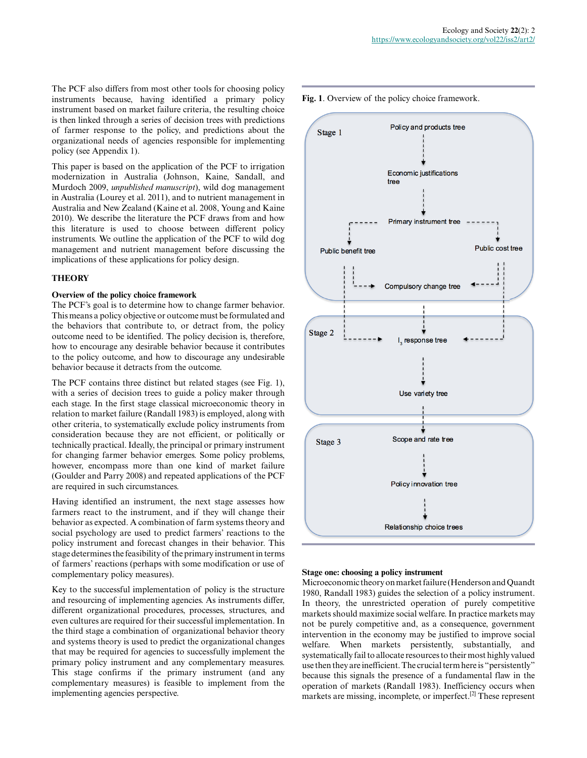The PCF also differs from most other tools for choosing policy instruments because, having identified a primary policy instrument based on market failure criteria, the resulting choice is then linked through a series of decision trees with predictions of farmer response to the policy, and predictions about the organizational needs of agencies responsible for implementing policy (see Appendix 1).

This paper is based on the application of the PCF to irrigation modernization in Australia (Johnson, Kaine, Sandall, and Murdoch 2009, *unpublished manuscript*), wild dog management in Australia (Lourey et al. 2011), and to nutrient management in Australia and New Zealand (Kaine et al. 2008, Young and Kaine 2010). We describe the literature the PCF draws from and how this literature is used to choose between different policy instruments. We outline the application of the PCF to wild dog management and nutrient management before discussing the implications of these applications for policy design.

#### **THEORY**

#### **Overview of the policy choice framework**

The PCF's goal is to determine how to change farmer behavior. This means a policy objective or outcome must be formulated and the behaviors that contribute to, or detract from, the policy outcome need to be identified. The policy decision is, therefore, how to encourage any desirable behavior because it contributes to the policy outcome, and how to discourage any undesirable behavior because it detracts from the outcome.

The PCF contains three distinct but related stages (see Fig. 1), with a series of decision trees to guide a policy maker through each stage. In the first stage classical microeconomic theory in relation to market failure (Randall 1983) is employed, along with other criteria, to systematically exclude policy instruments from consideration because they are not efficient, or politically or technically practical. Ideally, the principal or primary instrument for changing farmer behavior emerges. Some policy problems, however, encompass more than one kind of market failure (Goulder and Parry 2008) and repeated applications of the PCF are required in such circumstances.

Having identified an instrument, the next stage assesses how farmers react to the instrument, and if they will change their behavior as expected. A combination of farm systems theory and social psychology are used to predict farmers' reactions to the policy instrument and forecast changes in their behavior. This stage determines the feasibility of the primary instrument in terms of farmers' reactions (perhaps with some modification or use of complementary policy measures).

Key to the successful implementation of policy is the structure and resourcing of implementing agencies. As instruments differ, different organizational procedures, processes, structures, and even cultures are required for their successful implementation. In the third stage a combination of organizational behavior theory and systems theory is used to predict the organizational changes that may be required for agencies to successfully implement the primary policy instrument and any complementary measures. This stage confirms if the primary instrument (and any complementary measures) is feasible to implement from the implementing agencies perspective.

**Fig. 1**. Overview of the policy choice framework.



#### **Stage one: choosing a policy instrument**

Microeconomic theory on market failure (Henderson and Quandt 1980, Randall 1983) guides the selection of a policy instrument. In theory, the unrestricted operation of purely competitive markets should maximize social welfare. In practice markets may not be purely competitive and, as a consequence, government intervention in the economy may be justified to improve social welfare. When markets persistently, substantially, and systematically fail to allocate resources to their most highly valued use then they are inefficient. The crucial term here is "persistently" because this signals the presence of a fundamental flaw in the operation of markets (Randall 1983). Inefficiency occurs when markets are missing, incomplete, or imperfect.[2] These represent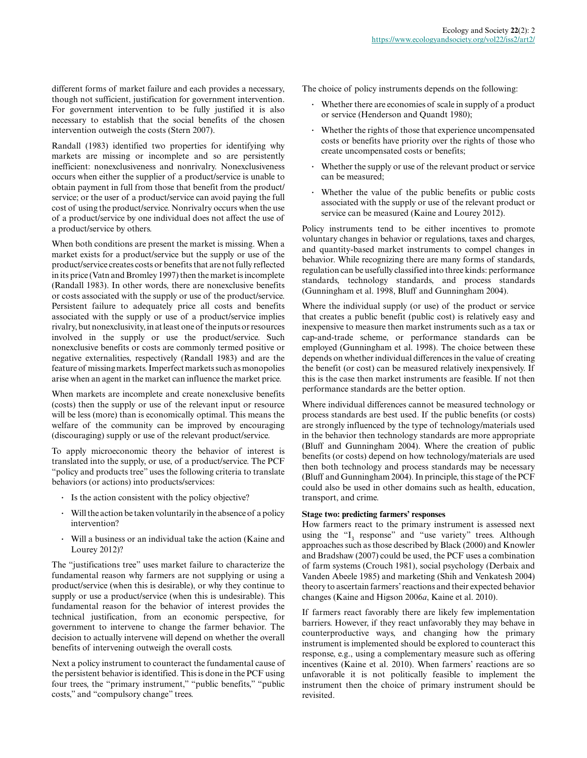different forms of market failure and each provides a necessary, though not sufficient, justification for government intervention. For government intervention to be fully justified it is also necessary to establish that the social benefits of the chosen intervention outweigh the costs (Stern 2007).

Randall (1983) identified two properties for identifying why markets are missing or incomplete and so are persistently inefficient: nonexclusiveness and nonrivalry. Nonexclusiveness occurs when either the supplier of a product/service is unable to obtain payment in full from those that benefit from the product/ service; or the user of a product/service can avoid paying the full cost of using the product/service. Nonrivalry occurs when the use of a product/service by one individual does not affect the use of a product/service by others.

When both conditions are present the market is missing. When a market exists for a product/service but the supply or use of the product/service creates costs or benefits that are not fully reflected in its price (Vatn and Bromley 1997) then the market is incomplete (Randall 1983). In other words, there are nonexclusive benefits or costs associated with the supply or use of the product/service. Persistent failure to adequately price all costs and benefits associated with the supply or use of a product/service implies rivalry, but nonexclusivity, in at least one of the inputs or resources involved in the supply or use the product/service. Such nonexclusive benefits or costs are commonly termed positive or negative externalities, respectively (Randall 1983) and are the feature of missing markets. Imperfect markets such as monopolies arise when an agent in the market can influence the market price.

When markets are incomplete and create nonexclusive benefits (costs) then the supply or use of the relevant input or resource will be less (more) than is economically optimal. This means the welfare of the community can be improved by encouraging (discouraging) supply or use of the relevant product/service.

To apply microeconomic theory the behavior of interest is translated into the supply, or use, of a product/service. The PCF "policy and products tree" uses the following criteria to translate behaviors (or actions) into products/services:

- **.** Is the action consistent with the policy objective?
- **.** Will the action be taken voluntarily in the absence of a policy intervention?
- **.** Will a business or an individual take the action (Kaine and Lourey 2012)?

The "justifications tree" uses market failure to characterize the fundamental reason why farmers are not supplying or using a product/service (when this is desirable), or why they continue to supply or use a product/service (when this is undesirable). This fundamental reason for the behavior of interest provides the technical justification, from an economic perspective, for government to intervene to change the farmer behavior. The decision to actually intervene will depend on whether the overall benefits of intervening outweigh the overall costs.

Next a policy instrument to counteract the fundamental cause of the persistent behavior is identified. This is done in the PCF using four trees, the "primary instrument," "public benefits," "public costs," and "compulsory change" trees.

The choice of policy instruments depends on the following:

- **.** Whether there are economies of scale in supply of a product or service (Henderson and Quandt 1980);
- **.** Whether the rights of those that experience uncompensated costs or benefits have priority over the rights of those who create uncompensated costs or benefits;
- **.** Whether the supply or use of the relevant product or service can be measured;
- **.** Whether the value of the public benefits or public costs associated with the supply or use of the relevant product or service can be measured (Kaine and Lourey 2012).

Policy instruments tend to be either incentives to promote voluntary changes in behavior or regulations, taxes and charges, and quantity-based market instruments to compel changes in behavior. While recognizing there are many forms of standards, regulation can be usefully classified into three kinds: performance standards, technology standards, and process standards (Gunningham et al. 1998, Bluff and Gunningham 2004).

Where the individual supply (or use) of the product or service that creates a public benefit (public cost) is relatively easy and inexpensive to measure then market instruments such as a tax or cap-and-trade scheme, or performance standards can be employed (Gunningham et al. 1998). The choice between these depends on whether individual differences in the value of creating the benefit (or cost) can be measured relatively inexpensively. If this is the case then market instruments are feasible. If not then performance standards are the better option.

Where individual differences cannot be measured technology or process standards are best used. If the public benefits (or costs) are strongly influenced by the type of technology/materials used in the behavior then technology standards are more appropriate (Bluff and Gunningham 2004). Where the creation of public benefits (or costs) depend on how technology/materials are used then both technology and process standards may be necessary (Bluff and Gunningham 2004). In principle, this stage of the PCF could also be used in other domains such as health, education, transport, and crime.

#### **Stage two: predicting farmers' responses**

How farmers react to the primary instrument is assessed next using the  $1_3$  response" and "use variety" trees. Although approaches such as those described by Black (2000) and Knowler and Bradshaw (2007) could be used, the PCF uses a combination of farm systems (Crouch 1981), social psychology (Derbaix and Vanden Abeele 1985) and marketing (Shih and Venkatesh 2004) theory to ascertain farmers' reactions and their expected behavior changes (Kaine and Higson 2006*a*, Kaine et al. 2010).

If farmers react favorably there are likely few implementation barriers. However, if they react unfavorably they may behave in counterproductive ways, and changing how the primary instrument is implemented should be explored to counteract this response, e.g., using a complementary measure such as offering incentives (Kaine et al. 2010). When farmers' reactions are so unfavorable it is not politically feasible to implement the instrument then the choice of primary instrument should be revisited.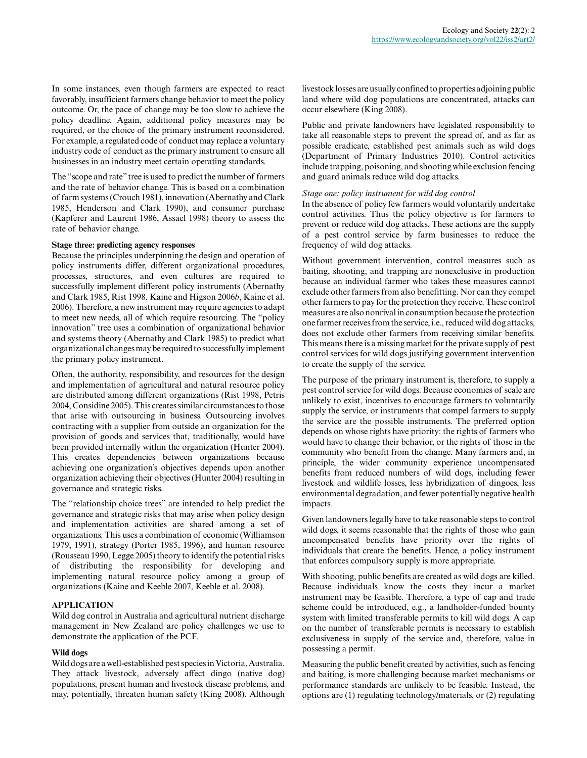In some instances, even though farmers are expected to react favorably, insufficient farmers change behavior to meet the policy outcome. Or, the pace of change may be too slow to achieve the policy deadline. Again, additional policy measures may be required, or the choice of the primary instrument reconsidered. For example, a regulated code of conduct may replace a voluntary industry code of conduct as the primary instrument to ensure all businesses in an industry meet certain operating standards.

The "scope and rate" tree is used to predict the number of farmers and the rate of behavior change. This is based on a combination of farm systems (Crouch 1981), innovation (Abernathy and Clark 1985, Henderson and Clark 1990), and consumer purchase (Kapferer and Laurent 1986, Assael 1998) theory to assess the rate of behavior change.

#### **Stage three: predicting agency responses**

Because the principles underpinning the design and operation of policy instruments differ, different organizational procedures, processes, structures, and even cultures are required to successfully implement different policy instruments (Abernathy and Clark 1985, Rist 1998, Kaine and Higson 2006*b*, Kaine et al. 2006). Therefore, a new instrument may require agencies to adapt to meet new needs, all of which require resourcing. The "policy innovation" tree uses a combination of organizational behavior and systems theory (Abernathy and Clark 1985) to predict what organizational changes may be required to successfully implement the primary policy instrument.

Often, the authority, responsibility, and resources for the design and implementation of agricultural and natural resource policy are distributed among different organizations (Rist 1998, Petris 2004, Considine 2005). This creates similar circumstances to those that arise with outsourcing in business. Outsourcing involves contracting with a supplier from outside an organization for the provision of goods and services that, traditionally, would have been provided internally within the organization (Hunter 2004). This creates dependencies between organizations because achieving one organization's objectives depends upon another organization achieving their objectives (Hunter 2004) resulting in governance and strategic risks.

The "relationship choice trees" are intended to help predict the governance and strategic risks that may arise when policy design and implementation activities are shared among a set of organizations. This uses a combination of economic (Williamson 1979, 1991), strategy (Porter 1985, 1996), and human resource (Rousseau 1990, Legge 2005) theory to identify the potential risks of distributing the responsibility for developing and implementing natural resource policy among a group of organizations (Kaine and Keeble 2007, Keeble et al. 2008).

#### **APPLICATION**

Wild dog control in Australia and agricultural nutrient discharge management in New Zealand are policy challenges we use to demonstrate the application of the PCF.

#### **Wild dogs**

Wild dogs are a well-established pest species in Victoria, Australia. They attack livestock, adversely affect dingo (native dog) populations, present human and livestock disease problems, and may, potentially, threaten human safety (King 2008). Although livestock losses are usually confined to properties adjoining public land where wild dog populations are concentrated, attacks can occur elsewhere (King 2008).

Public and private landowners have legislated responsibility to take all reasonable steps to prevent the spread of, and as far as possible eradicate, established pest animals such as wild dogs (Department of Primary Industries 2010). Control activities include trapping, poisoning, and shooting while exclusion fencing and guard animals reduce wild dog attacks.

#### *Stage one: policy instrument for wild dog control*

In the absence of policy few farmers would voluntarily undertake control activities. Thus the policy objective is for farmers to prevent or reduce wild dog attacks. These actions are the supply of a pest control service by farm businesses to reduce the frequency of wild dog attacks.

Without government intervention, control measures such as baiting, shooting, and trapping are nonexclusive in production because an individual farmer who takes these measures cannot exclude other farmers from also benefitting. Nor can they compel other farmers to pay for the protection they receive. These control measures are also nonrival in consumption because the protection one farmer receives from the service, i.e., reduced wild dog attacks, does not exclude other farmers from receiving similar benefits. This means there is a missing market for the private supply of pest control services for wild dogs justifying government intervention to create the supply of the service.

The purpose of the primary instrument is, therefore, to supply a pest control service for wild dogs. Because economies of scale are unlikely to exist, incentives to encourage farmers to voluntarily supply the service, or instruments that compel farmers to supply the service are the possible instruments. The preferred option depends on whose rights have priority: the rights of farmers who would have to change their behavior, or the rights of those in the community who benefit from the change. Many farmers and, in principle, the wider community experience uncompensated benefits from reduced numbers of wild dogs, including fewer livestock and wildlife losses, less hybridization of dingoes, less environmental degradation, and fewer potentially negative health impacts.

Given landowners legally have to take reasonable steps to control wild dogs, it seems reasonable that the rights of those who gain uncompensated benefits have priority over the rights of individuals that create the benefits. Hence, a policy instrument that enforces compulsory supply is more appropriate.

With shooting, public benefits are created as wild dogs are killed. Because individuals know the costs they incur a market instrument may be feasible. Therefore, a type of cap and trade scheme could be introduced, e.g., a landholder-funded bounty system with limited transferable permits to kill wild dogs. A cap on the number of transferable permits is necessary to establish exclusiveness in supply of the service and, therefore, value in possessing a permit.

Measuring the public benefit created by activities, such as fencing and baiting, is more challenging because market mechanisms or performance standards are unlikely to be feasible. Instead, the options are (1) regulating technology/materials, or (2) regulating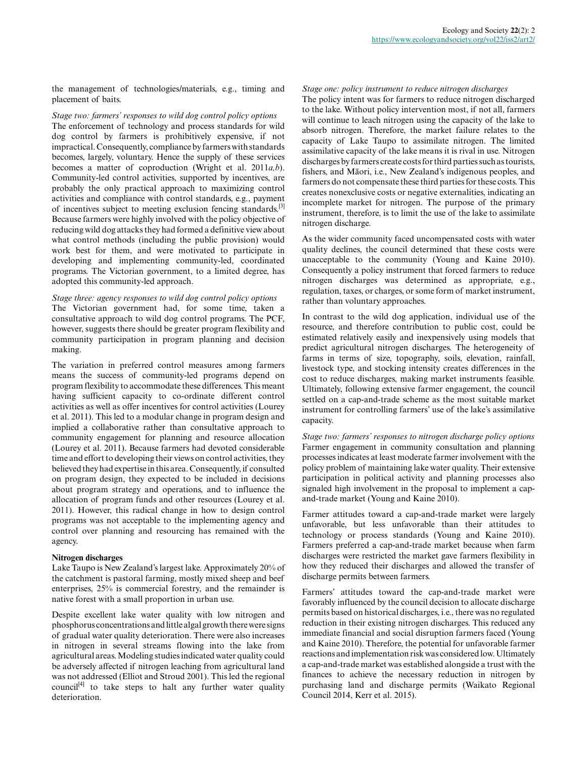the management of technologies/materials, e.g., timing and placement of baits.

#### *Stage two: farmers' responses to wild dog control policy options*

The enforcement of technology and process standards for wild dog control by farmers is prohibitively expensive, if not impractical. Consequently, compliance by farmers with standards becomes, largely, voluntary. Hence the supply of these services becomes a matter of coproduction (Wright et al. 2011*a,b*). Community-led control activities, supported by incentives, are probably the only practical approach to maximizing control activities and compliance with control standards, e.g., payment of incentives subject to meeting exclusion fencing standards.<sup>[3]</sup> Because farmers were highly involved with the policy objective of reducing wild dog attacks they had formed a definitive view about what control methods (including the public provision) would work best for them, and were motivated to participate in developing and implementing community-led, coordinated programs. The Victorian government, to a limited degree, has adopted this community-led approach.

#### *Stage three: agency responses to wild dog control policy options*

The Victorian government had, for some time, taken a consultative approach to wild dog control programs. The PCF, however, suggests there should be greater program flexibility and community participation in program planning and decision making.

The variation in preferred control measures among farmers means the success of community-led programs depend on program flexibility to accommodate these differences. This meant having sufficient capacity to co-ordinate different control activities as well as offer incentives for control activities (Lourey et al. 2011). This led to a modular change in program design and implied a collaborative rather than consultative approach to community engagement for planning and resource allocation (Lourey et al. 2011). Because farmers had devoted considerable time and effort to developing their views on control activities, they believed they had expertise in this area. Consequently, if consulted on program design, they expected to be included in decisions about program strategy and operations, and to influence the allocation of program funds and other resources (Lourey et al. 2011). However, this radical change in how to design control programs was not acceptable to the implementing agency and control over planning and resourcing has remained with the agency.

#### **Nitrogen discharges**

Lake Taupo is New Zealand's largest lake. Approximately 20% of the catchment is pastoral farming, mostly mixed sheep and beef enterprises, 25% is commercial forestry, and the remainder is native forest with a small proportion in urban use.

Despite excellent lake water quality with low nitrogen and phosphorus concentrations and little algal growth there were signs of gradual water quality deterioration. There were also increases in nitrogen in several streams flowing into the lake from agricultural areas. Modeling studies indicated water quality could be adversely affected if nitrogen leaching from agricultural land was not addressed (Elliot and Stroud 2001). This led the regional council<sup>[4]</sup> to take steps to halt any further water quality deterioration.

#### *Stage one: policy instrument to reduce nitrogen discharges*

The policy intent was for farmers to reduce nitrogen discharged to the lake. Without policy intervention most, if not all, farmers will continue to leach nitrogen using the capacity of the lake to absorb nitrogen. Therefore, the market failure relates to the capacity of Lake Taupo to assimilate nitrogen. The limited assimilative capacity of the lake means it is rival in use. Nitrogen discharges by farmers create costs for third parties such as tourists, fishers, and Māori, i.e., New Zealand's indigenous peoples, and farmers do not compensate these third parties for these costs. This creates nonexclusive costs or negative externalities, indicating an incomplete market for nitrogen. The purpose of the primary instrument, therefore, is to limit the use of the lake to assimilate nitrogen discharge.

As the wider community faced uncompensated costs with water quality declines, the council determined that these costs were unacceptable to the community (Young and Kaine 2010). Consequently a policy instrument that forced farmers to reduce nitrogen discharges was determined as appropriate, e.g., regulation, taxes, or charges, or some form of market instrument, rather than voluntary approaches.

In contrast to the wild dog application, individual use of the resource, and therefore contribution to public cost, could be estimated relatively easily and inexpensively using models that predict agricultural nitrogen discharges. The heterogeneity of farms in terms of size, topography, soils, elevation, rainfall, livestock type, and stocking intensity creates differences in the cost to reduce discharges, making market instruments feasible. Ultimately, following extensive farmer engagement, the council settled on a cap-and-trade scheme as the most suitable market instrument for controlling farmers' use of the lake's assimilative capacity.

*Stage two: farmers' responses to nitrogen discharge policy options* Farmer engagement in community consultation and planning processes indicates at least moderate farmer involvement with the policy problem of maintaining lake water quality. Their extensive participation in political activity and planning processes also signaled high involvement in the proposal to implement a capand-trade market (Young and Kaine 2010).

Farmer attitudes toward a cap-and-trade market were largely unfavorable, but less unfavorable than their attitudes to technology or process standards (Young and Kaine 2010). Farmers preferred a cap-and-trade market because when farm discharges were restricted the market gave farmers flexibility in how they reduced their discharges and allowed the transfer of discharge permits between farmers.

Farmers' attitudes toward the cap-and-trade market were favorably influenced by the council decision to allocate discharge permits based on historical discharges, i.e., there was no regulated reduction in their existing nitrogen discharges. This reduced any immediate financial and social disruption farmers faced (Young and Kaine 2010). Therefore, the potential for unfavorable farmer reactions and implementation risk was considered low. Ultimately a cap-and-trade market was established alongside a trust with the finances to achieve the necessary reduction in nitrogen by purchasing land and discharge permits (Waikato Regional Council 2014, Kerr et al. 2015).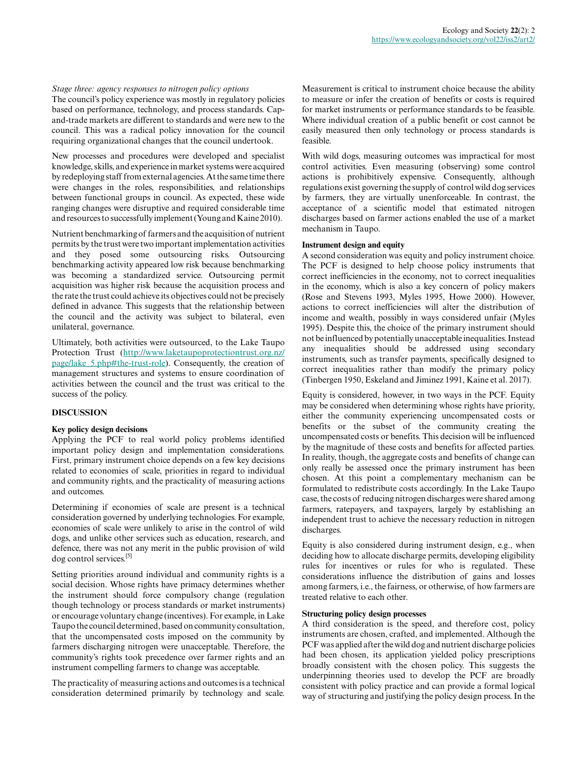#### *Stage three: agency responses to nitrogen policy options*

The council's policy experience was mostly in regulatory policies based on performance, technology, and process standards. Capand-trade markets are different to standards and were new to the council. This was a radical policy innovation for the council requiring organizational changes that the council undertook.

New processes and procedures were developed and specialist knowledge, skills, and experience in market systems were acquired by redeploying staff from external agencies. At the same time there were changes in the roles, responsibilities, and relationships between functional groups in council. As expected, these wide ranging changes were disruptive and required considerable time and resources to successfully implement (Young and Kaine 2010).

Nutrient benchmarking of farmers and the acquisition of nutrient permits by the trust were two important implementation activities and they posed some outsourcing risks. Outsourcing benchmarking activity appeared low risk because benchmarking was becoming a standardized service. Outsourcing permit acquisition was higher risk because the acquisition process and the rate the trust could achieve its objectives could not be precisely defined in advance. This suggests that the relationship between the council and the activity was subject to bilateral, even unilateral, governance.

Ultimately, both activities were outsourced, to the Lake Taupo Protection Trust [\(http://www.laketaupoprotectiontrust.org.nz/](http://www.laketaupoprotectiontrust.org.nz/page/lake_5.php#the-trust-role) [page/lake\\_5.php#the-trust-role](http://www.laketaupoprotectiontrust.org.nz/page/lake_5.php#the-trust-role)). Consequently, the creation of management structures and systems to ensure coordination of activities between the council and the trust was critical to the success of the policy.

## **DISCUSSION**

#### **Key policy design decisions**

Applying the PCF to real world policy problems identified important policy design and implementation considerations. First, primary instrument choice depends on a few key decisions related to economies of scale, priorities in regard to individual and community rights, and the practicality of measuring actions and outcomes.

Determining if economies of scale are present is a technical consideration governed by underlying technologies. For example, economies of scale were unlikely to arise in the control of wild dogs, and unlike other services such as education, research, and defence, there was not any merit in the public provision of wild dog control services.[5]

Setting priorities around individual and community rights is a social decision. Whose rights have primacy determines whether the instrument should force compulsory change (regulation though technology or process standards or market instruments) or encourage voluntary change (incentives). For example, in Lake Taupo the council determined, based on community consultation, that the uncompensated costs imposed on the community by farmers discharging nitrogen were unacceptable. Therefore, the community's rights took precedence over farmer rights and an instrument compelling farmers to change was acceptable.

The practicality of measuring actions and outcomes is a technical consideration determined primarily by technology and scale.

Measurement is critical to instrument choice because the ability to measure or infer the creation of benefits or costs is required for market instruments or performance standards to be feasible. Where individual creation of a public benefit or cost cannot be easily measured then only technology or process standards is feasible.

With wild dogs, measuring outcomes was impractical for most control activities. Even measuring (observing) some control actions is prohibitively expensive. Consequently, although regulations exist governing the supply of control wild dog services by farmers, they are virtually unenforceable. In contrast, the acceptance of a scientific model that estimated nitrogen discharges based on farmer actions enabled the use of a market mechanism in Taupo.

#### **Instrument design and equity**

A second consideration was equity and policy instrument choice. The PCF is designed to help choose policy instruments that correct inefficiencies in the economy, not to correct inequalities in the economy, which is also a key concern of policy makers (Rose and Stevens 1993, Myles 1995, Howe 2000). However, actions to correct inefficiencies will alter the distribution of income and wealth, possibly in ways considered unfair (Myles 1995). Despite this, the choice of the primary instrument should not be influenced by potentially unacceptable inequalities. Instead any inequalities should be addressed using secondary instruments, such as transfer payments, specifically designed to correct inequalities rather than modify the primary policy (Tinbergen 1950, Eskeland and Jiminez 1991, Kaine et al. 2017).

Equity is considered, however, in two ways in the PCF. Equity may be considered when determining whose rights have priority, either the community experiencing uncompensated costs or benefits or the subset of the community creating the uncompensated costs or benefits. This decision will be influenced by the magnitude of these costs and benefits for affected parties. In reality, though, the aggregate costs and benefits of change can only really be assessed once the primary instrument has been chosen. At this point a complementary mechanism can be formulated to redistribute costs accordingly. In the Lake Taupo case, the costs of reducing nitrogen discharges were shared among farmers, ratepayers, and taxpayers, largely by establishing an independent trust to achieve the necessary reduction in nitrogen discharges.

Equity is also considered during instrument design, e.g., when deciding how to allocate discharge permits, developing eligibility rules for incentives or rules for who is regulated. These considerations influence the distribution of gains and losses among farmers, i.e., the fairness, or otherwise, of how farmers are treated relative to each other.

#### **Structuring policy design processes**

A third consideration is the speed, and therefore cost, policy instruments are chosen, crafted, and implemented. Although the PCF was applied after the wild dog and nutrient discharge policies had been chosen, its application yielded policy prescriptions broadly consistent with the chosen policy. This suggests the underpinning theories used to develop the PCF are broadly consistent with policy practice and can provide a formal logical way of structuring and justifying the policy design process. In the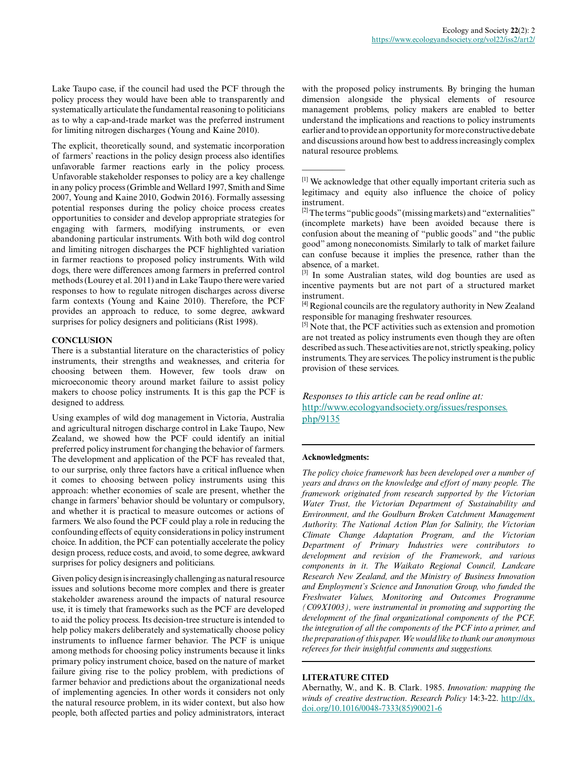Lake Taupo case, if the council had used the PCF through the policy process they would have been able to transparently and systematically articulate the fundamental reasoning to politicians as to why a cap-and-trade market was the preferred instrument for limiting nitrogen discharges (Young and Kaine 2010).

The explicit, theoretically sound, and systematic incorporation of farmers' reactions in the policy design process also identifies unfavorable farmer reactions early in the policy process. Unfavorable stakeholder responses to policy are a key challenge in any policy process (Grimble and Wellard 1997, Smith and Sime 2007, Young and Kaine 2010, Godwin 2016). Formally assessing potential responses during the policy choice process creates opportunities to consider and develop appropriate strategies for engaging with farmers, modifying instruments, or even abandoning particular instruments. With both wild dog control and limiting nitrogen discharges the PCF highlighted variation in farmer reactions to proposed policy instruments. With wild dogs, there were differences among farmers in preferred control methods (Lourey et al. 2011) and in Lake Taupo there were varied responses to how to regulate nitrogen discharges across diverse farm contexts (Young and Kaine 2010). Therefore, the PCF provides an approach to reduce, to some degree, awkward surprises for policy designers and politicians (Rist 1998).

#### **CONCLUSION**

There is a substantial literature on the characteristics of policy instruments, their strengths and weaknesses, and criteria for choosing between them. However, few tools draw on microeconomic theory around market failure to assist policy makers to choose policy instruments. It is this gap the PCF is designed to address.

Using examples of wild dog management in Victoria, Australia and agricultural nitrogen discharge control in Lake Taupo, New Zealand, we showed how the PCF could identify an initial preferred policy instrument for changing the behavior of farmers. The development and application of the PCF has revealed that, to our surprise, only three factors have a critical influence when it comes to choosing between policy instruments using this approach: whether economies of scale are present, whether the change in farmers' behavior should be voluntary or compulsory, and whether it is practical to measure outcomes or actions of farmers. We also found the PCF could play a role in reducing the confounding effects of equity considerations in policy instrument choice. In addition, the PCF can potentially accelerate the policy design process, reduce costs, and avoid, to some degree, awkward surprises for policy designers and politicians.

Given policy design is increasingly challenging as natural resource issues and solutions become more complex and there is greater stakeholder awareness around the impacts of natural resource use, it is timely that frameworks such as the PCF are developed to aid the policy process. Its decision-tree structure is intended to help policy makers deliberately and systematically choose policy instruments to influence farmer behavior. The PCF is unique among methods for choosing policy instruments because it links primary policy instrument choice, based on the nature of market failure giving rise to the policy problem, with predictions of farmer behavior and predictions about the organizational needs of implementing agencies. In other words it considers not only the natural resource problem, in its wider context, but also how people, both affected parties and policy administrators, interact

with the proposed policy instruments. By bringing the human dimension alongside the physical elements of resource management problems, policy makers are enabled to better understand the implications and reactions to policy instruments earlier and to provide an opportunity for more constructive debate and discussions around how best to address increasingly complex natural resource problems.

<sup>[2]</sup> The terms "public goods" (missing markets) and "externalities" (incomplete markets) have been avoided because there is confusion about the meaning of "public goods" and "the public good" among noneconomists. Similarly to talk of market failure can confuse because it implies the presence, rather than the absence, of a market.

[3] In some Australian states, wild dog bounties are used as incentive payments but are not part of a structured market instrument.

 $[4]$  Regional councils are the regulatory authority in New Zealand responsible for managing freshwater resources.

<sup>[5]</sup> Note that, the PCF activities such as extension and promotion are not treated as policy instruments even though they are often described as such. These activities are not, strictly speaking, policy instruments. They are services. The policy instrument is the public provision of these services.

*Responses to this article can be read online at:* [http://www.ecologyandsociety.org/issues/responses.](http://www.ecologyandsociety.org/issues/responses.php/9135) [php/9135](http://www.ecologyandsociety.org/issues/responses.php/9135)

#### **Acknowledgments:**

 $\overline{\phantom{a}}$ 

*The policy choice framework has been developed over a number of years and draws on the knowledge and effort of many people. The framework originated from research supported by the Victorian Water Trust, the Victorian Department of Sustainability and Environment, and the Goulburn Broken Catchment Management Authority. The National Action Plan for Salinity, the Victorian Climate Change Adaptation Program, and the Victorian Department of Primary Industries were contributors to development and revision of the Framework, and various components in it. The Waikato Regional Council, Landcare Research New Zealand, and the Ministry of Business Innovation and Employment's Science and Innovation Group, who funded the Freshwater Values, Monitoring and Outcomes Programme (C09X1003), were instrumental in promoting and supporting the development of the final organizational components of the PCF, the integration of all the components of the PCF into a primer, and the preparation of this paper. We would like to thank our anonymous referees for their insightful comments and suggestions.*

#### **LITERATURE CITED**

Abernathy, W., and K. B. Clark. 1985. *Innovation: mapping the winds of creative destruction*. *Research Policy* 14:3-22. [http://dx.](http://dx.doi.org/10.1016%2F0048-7333%2885%2990021-6) [doi.org/10.1016/0048-7333\(85\)90021-6](http://dx.doi.org/10.1016%2F0048-7333%2885%2990021-6) 

<sup>[1]</sup> We acknowledge that other equally important criteria such as legitimacy and equity also influence the choice of policy instrument.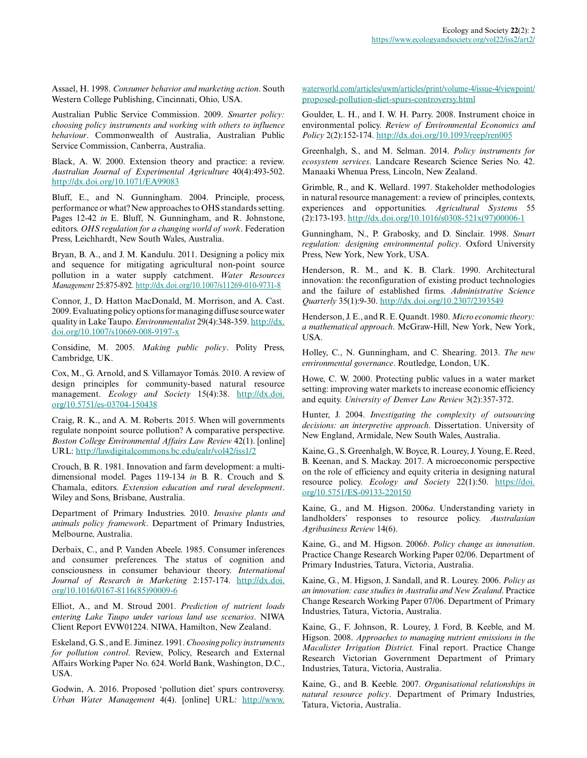Assael, H. 1998. *Consumer behavior and marketing action*. South Western College Publishing, Cincinnati, Ohio, USA.

Australian Public Service Commission. 2009. *Smarter policy: choosing policy instruments and working with others to influence behaviour*. Commonwealth of Australia, Australian Public Service Commission, Canberra, Australia.

Black, A. W. 2000. Extension theory and practice: a review. *Australian Journal of Experimental Agriculture* 40(4):493-502. [http://dx.doi.org/10.1071/EA99083](http://dx.doi.org/10.1071%2FEA99083) 

Bluff, E., and N. Gunningham. 2004. Principle, process, performance or what? New approaches to OHS standards setting. Pages 12-42 *in* E. Bluff, N. Gunningham, and R. Johnstone, editors. *OHS regulation for a changing world of work*. Federation Press, Leichhardt, New South Wales, Australia.

Bryan, B. A., and J. M. Kandulu. 2011. Designing a policy mix and sequence for mitigating agricultural non-point source pollution in a water supply catchment. *Water Resources Management* 25:875-892. [http://dx.doi.org/10.1007/s11269-010-9731-8](http://dx.doi.org/10.1007%2Fs11269-010-9731-8) 

Connor, J., D. Hatton MacDonald, M. Morrison, and A. Cast. 2009. Evaluating policy options for managing diffuse source water quality in Lake Taupo. *Environmentalist* 29(4):348-359. [http://dx.](http://dx.doi.org/10.1007%2Fs10669-008-9197-x) [doi.org/10.1007/s10669-008-9197-x](http://dx.doi.org/10.1007%2Fs10669-008-9197-x) 

Considine, M. 2005. *Making public policy*. Polity Press, Cambridge, UK.

Cox, M., G. Arnold, and S. Villamayor Tomás. 2010. A review of design principles for community-based natural resource management. *Ecology and Society* 15(4):38. [http://dx.doi.](http://dx.doi.org/10.5751%2Fes-03704-150438) [org/10.5751/es-03704-150438](http://dx.doi.org/10.5751%2Fes-03704-150438)

Craig, R. K., and A. M. Roberts. 2015. When will governments regulate nonpoint source pollution? A comparative perspective. *Boston College Environmental Affairs Law Review* 42(1). [online] URL:<http://lawdigitalcommons.bc.edu/ealr/vol42/iss1/2>

Crouch, B. R. 1981. Innovation and farm development: a multidimensional model. Pages 119-134 *in* B. R. Crouch and S. Chamala, editors. *Extension education and rural development*. Wiley and Sons, Brisbane, Australia.

Department of Primary Industries. 2010. *Invasive plants and animals policy framework*. Department of Primary Industries, Melbourne, Australia.

Derbaix, C., and P. Vanden Abeele. 1985. Consumer inferences and consumer preferences. The status of cognition and consciousness in consumer behaviour theory. *International* Journal of Research in Marketing 2:157-174. [http://dx.doi.](http://dx.doi.org/10.1016%2F0167-8116%2885%2990009-6) [org/10.1016/0167-8116\(85\)90009-6](http://dx.doi.org/10.1016%2F0167-8116%2885%2990009-6)

Elliot, A., and M. Stroud 2001. *Prediction of nutrient loads entering Lake Taupo under various land use scenarios*. NIWA Client Report EVW01224. NIWA, Hamilton, New Zealand.

Eskeland, G. S., and E. Jiminez. 1991. *Choosing policy instruments for pollution control*. Review, Policy, Research and External Affairs Working Paper No. 624. World Bank, Washington, D.C., USA.

Godwin, A. 2016. Proposed 'pollution diet' spurs controversy. *Urban Water Management* 4(4). [online] URL: [http://www.](http://www.waterworld.com/articles/uwm/articles/print/volume-4/issue-4/viewpoint/proposed-pollution-diet-spurs-controversy.html) [waterworld.com/articles/uwm/articles/print/volume-4/issue-4/viewpoint/](http://www.waterworld.com/articles/uwm/articles/print/volume-4/issue-4/viewpoint/proposed-pollution-diet-spurs-controversy.html) [proposed-pollution-diet-spurs-controversy.html](http://www.waterworld.com/articles/uwm/articles/print/volume-4/issue-4/viewpoint/proposed-pollution-diet-spurs-controversy.html) 

Goulder, L. H., and I. W. H. Parry. 2008. Instrument choice in environmental policy. *Review of Environmental Economics and Policy* 2(2):152-174. [http://dx.doi.org/10.1093/reep/ren005](http://dx.doi.org/10.1093%2Freep%2Fren005)

Greenhalgh, S., and M. Selman. 2014. *Policy instruments for ecosystem services*. Landcare Research Science Series No. 42. Manaaki Whenua Press, Lincoln, New Zealand.

Grimble, R., and K. Wellard. 1997. Stakeholder methodologies in natural resource management: a review of principles, contexts, experiences and opportunities. *Agricultural Systems* 55 (2):173-193. [http://dx.doi.org/10.1016/s0308-521x\(97\)00006-1](http://dx.doi.org/10.1016%2Fs0308-521x%2897%2900006-1)

Gunningham, N., P. Grabosky, and D. Sinclair. 1998. *Smart regulation: designing environmental policy*. Oxford University Press, New York, New York, USA.

Henderson, R. M., and K. B. Clark. 1990. Architectural innovation: the reconfiguration of existing product technologies and the failure of established firms. *Administrative Science Quarterly* 35(1):9-30. [http://dx.doi.org/10.2307/2393549](http://dx.doi.org/10.2307%2F2393549)

Henderson, J. E., and R. E. Quandt. 1980. *Micro economic theory: a mathematical approach*. McGraw-Hill, New York, New York, USA.

Holley, C., N. Gunningham, and C. Shearing. 2013. *The new environmental governance*. Routledge, London, UK.

Howe, C. W. 2000. Protecting public values in a water market setting: improving water markets to increase economic efficiency and equity. *University of Denver Law Review* 3(2):357-372.

Hunter, J. 2004. *Investigating the complexity of outsourcing decisions: an interpretive approach*. Dissertation. University of New England, Armidale, New South Wales, Australia.

Kaine, G., S. Greenhalgh, W. Boyce, R. Lourey, J. Young, E. Reed, B. Keenan, and S. Mackay. 2017. A microeconomic perspective on the role of efficiency and equity criteria in designing natural resource policy. *Ecology and Society* 22(1):50. [https://doi.](https://doi.org/10.5751/ES-09133-220150) [org/10.5751/ES-09133-220150](https://doi.org/10.5751/ES-09133-220150) 

Kaine, G., and M. Higson. 2006*a*. Understanding variety in landholders' responses to resource policy. *Australasian Agribusiness Review* 14(6).

Kaine, G., and M. Higson. 2006*b*. *Policy change as innovation*. Practice Change Research Working Paper 02/06. Department of Primary Industries, Tatura, Victoria, Australia.

Kaine, G., M. Higson, J. Sandall, and R. Lourey. 2006. *Policy as an innovation: case studies in Australia and New Zealand*. Practice Change Research Working Paper 07/06. Department of Primary Industries, Tatura, Victoria, Australia.

Kaine, G., F. Johnson, R. Lourey, J. Ford, B. Keeble, and M. Higson. 2008. *Approaches to managing nutrient emissions in the Macalister Irrigation District.* Final report. Practice Change Research Victorian Government Department of Primary Industries, Tatura, Victoria, Australia.

Kaine, G., and B. Keeble. 2007. *Organisational relationships in natural resource policy*. Department of Primary Industries, Tatura, Victoria, Australia.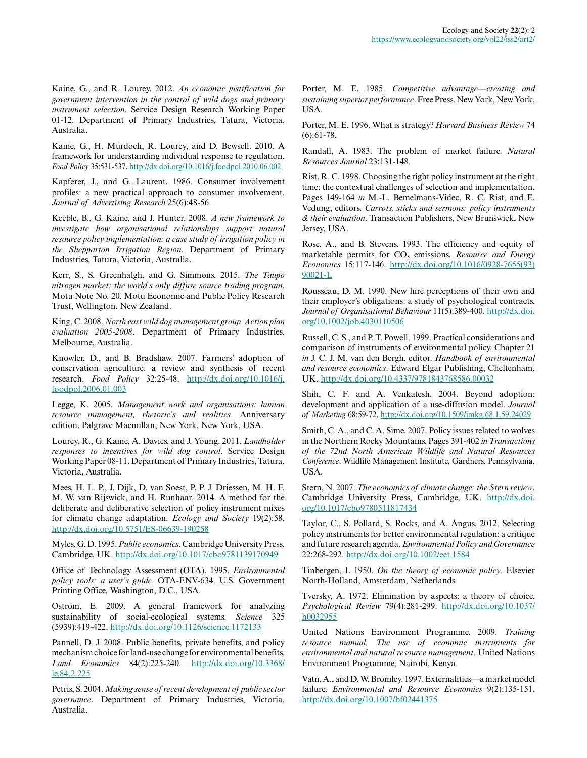Kaine, G., and R. Lourey. 2012. *An economic justification for government intervention in the control of wild dogs and primary instrument selection*. Service Design Research Working Paper 01-12. Department of Primary Industries, Tatura, Victoria, Australia.

Kaine, G., H. Murdoch, R. Lourey, and D. Bewsell. 2010. A framework for understanding individual response to regulation. *Food Policy* 35:531-537. [http://dx.doi.org/10.1016/j.foodpol.2010.06.002](http://dx.doi.org/10.1016%2Fj.foodpol.2010.06.002)

Kapferer, J., and G. Laurent. 1986. Consumer involvement profiles: a new practical approach to consumer involvement. *Journal of Advertising Research* 25(6):48-56.

Keeble, B., G. Kaine, and J. Hunter. 2008. *A new framework to investigate how organisational relationships support natural resource policy implementation: a case study of irrigation policy in the Shepparton Irrigation Region*. Department of Primary Industries, Tatura, Victoria, Australia.

Kerr, S., S. Greenhalgh, and G. Simmons. 2015. *The Taupo nitrogen market: the world's only diffuse source trading program*. Motu Note No. 20. Motu Economic and Public Policy Research Trust, Wellington, New Zealand.

King, C. 2008. *North east wild dog management group. Action plan evaluation 2005-2008*. Department of Primary Industries, Melbourne, Australia.

Knowler, D., and B. Bradshaw. 2007. Farmers' adoption of conservation agriculture: a review and synthesis of recent research. *Food Policy* 32:25-48. [http://dx.doi.org/10.1016/j.](http://dx.doi.org/10.1016%2Fj.foodpol.2006.01.003) [foodpol.2006.01.003](http://dx.doi.org/10.1016%2Fj.foodpol.2006.01.003) 

Legge, K. 2005. *Management work and organisations: human resource management, rhetoric's and realities*. Anniversary edition. Palgrave Macmillan, New York, New York, USA.

Lourey, R., G. Kaine, A. Davies, and J. Young. 2011. *Landholder responses to incentives for wild dog control*. Service Design Working Paper 08-11. Department of Primary Industries, Tatura, Victoria, Australia.

Mees, H. L. P., J. Dijk, D. van Soest, P. P. J. Driessen, M. H. F. M. W. van Rijswick, and H. Runhaar. 2014. A method for the deliberate and deliberative selection of policy instrument mixes for climate change adaptation. *Ecology and Society* 19(2):58. [http://dx.doi.org/10.5751/ES-06639-190258](http://dx.doi.org/10.5751%2FES-06639-190258) 

Myles, G. D. 1995. *Public economics*. Cambridge University Press, Cambridge, UK. [http://dx.doi.org/10.1017/cbo9781139170949](http://dx.doi.org/10.1017%2Fcbo9781139170949)

Office of Technology Assessment (OTA). 1995. *Environmental policy tools: a user's guide*. OTA-ENV-634. U.S. Government Printing Office, Washington, D.C., USA.

Ostrom, E. 2009. A general framework for analyzing sustainability of social-ecological systems. *Science* 325 (5939):419-422. [http://dx.doi.org/10.1126/science.1172133](http://dx.doi.org/10.1126%2Fscience.1172133) 

Pannell, D. J. 2008. Public benefits, private benefits, and policy mechanism choice for land-use change for environmental benefits. *Land Economics* 84(2):225-240. [http://dx.doi.org/10.3368/](http://dx.doi.org/10.3368%2Fle.84.2.225) [le.84.2.225](http://dx.doi.org/10.3368%2Fle.84.2.225)

Petris, S. 2004. *Making sense of recent development of public sector governance*. Department of Primary Industries, Victoria, Australia.

Porter, M. E. 1985. *Competitive advantage—creating and sustaining superior performance*. Free Press, New York, New York, USA.

Porter, M. E. 1996. What is strategy? *Harvard Business Review* 74 (6):61-78.

Randall, A. 1983. The problem of market failure. *Natural Resources Journal* 23:131-148.

Rist, R. C. 1998. Choosing the right policy instrument at the right time: the contextual challenges of selection and implementation. Pages 149-164 *in* M.-L. Bemelmans-Videc, R. C. Rist, and E. Vedung, editors. *Carrots, sticks and sermons: policy instruments & their evaluation*. Transaction Publishers, New Brunswick, New Jersey, USA.

Rose, A., and B. Stevens. 1993. The efficiency and equity of marketable permits for  $CO<sub>2</sub>$  emissions. *Resource and Energy Economics* 15:117-146. [http://dx.doi.org/10.1016/0928-7655\(93\)](http://dx.doi.org/10.1016%2F0928-7655%2893%2990021-L) [90021-L](http://dx.doi.org/10.1016%2F0928-7655%2893%2990021-L)

Rousseau, D. M. 1990. New hire perceptions of their own and their employer's obligations: a study of psychological contracts. *Journal of Organisational Behaviour* 11(5):389-400. [http://dx.doi.](http://dx.doi.org/10.1002%2Fjob.4030110506) [org/10.1002/job.4030110506](http://dx.doi.org/10.1002%2Fjob.4030110506)

Russell, C. S., and P. T. Powell. 1999. Practical considerations and comparison of instruments of environmental policy. Chapter 21 *in* J. C. J. M. van den Bergh, editor. *Handbook of environmental and resource economics*. Edward Elgar Publishing, Cheltenham, UK. [http://dx.doi.org/10.4337/9781843768586.00032](http://dx.doi.org/10.4337%2F9781843768586.00032)

Shih, C. F. and A. Venkatesh. 2004. Beyond adoption: development and application of a use-diffusion model. *Journal of Marketing* 68:59-72. [http://dx.doi.org/10.1509/jmkg.68.1.59.24029](http://dx.doi.org/10.1509%2Fjmkg.68.1.59.24029) 

Smith, C. A., and C. A. Sime. 2007. Policy issues related to wolves in the Northern Rocky Mountains. Pages 391-402 *in Transactions of the 72nd North American Wildlife and Natural Resources Conference*. Wildlife Management Institute, Gardners, Pennsylvania, USA.

Stern, N. 2007. *The economics of climate change: the Stern review*. Cambridge University Press, Cambridge, UK. [http://dx.doi.](http://dx.doi.org/10.1017%2Fcbo9780511817434) [org/10.1017/cbo9780511817434](http://dx.doi.org/10.1017%2Fcbo9780511817434) 

Taylor, C., S. Pollard, S. Rocks, and A. Angus. 2012. Selecting policy instruments for better environmental regulation: a critique and future research agenda. *Environmental Policy and Governance* 22:268-292. [http://dx.doi.org/10.1002/eet.1584](http://dx.doi.org/10.1002%2Feet.1584) 

Tinbergen, I. 1950. *On the theory of economic policy*. Elsevier North-Holland, Amsterdam, Netherlands.

Tversky, A. 1972. Elimination by aspects: a theory of choice. *Psychological Review* 79(4):281-299. [http://dx.doi.org/10.1037/](http://dx.doi.org/10.1037%2Fh0032955) [h0032955](http://dx.doi.org/10.1037%2Fh0032955)

United Nations Environment Programme. 2009. *Training resource manual. The use of economic instruments for environmental and natural resource management*. United Nations Environment Programme, Nairobi, Kenya.

Vatn, A., and D. W. Bromley. 1997. Externalities—a market model failure. *Environmental and Resource Economics* 9(2):135-151. [http://dx.doi.org/10.1007/bf02441375](http://dx.doi.org/10.1007%2Fbf02441375)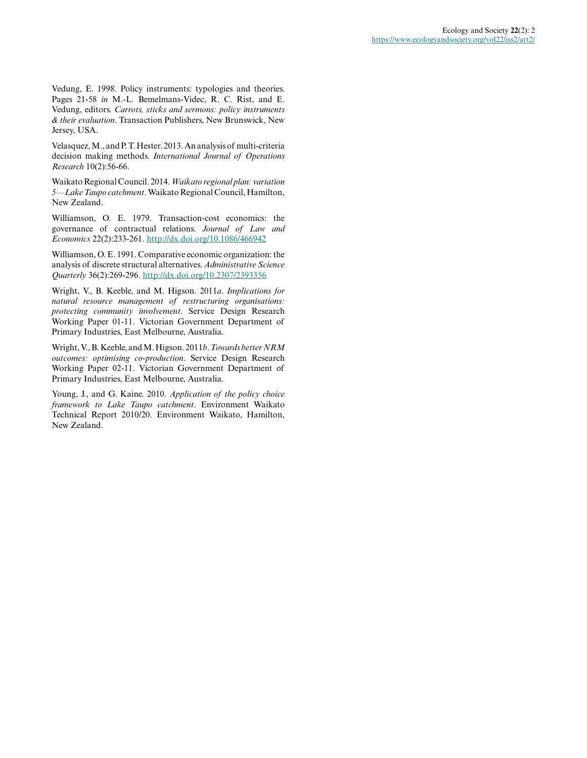Vedung, E. 1998. Policy instruments: typologies and theories. Pages 21-58 *in* M.-L. Bemelmans-Videc, R. C. Rist, and E. Vedung, editors. *Carrots, sticks and sermons: policy instruments & their evaluation*. Transaction Publishers, New Brunswick, New Jersey, USA.

Velasquez, M., and P. T. Hester. 2013. An analysis of multi-criteria decision making methods. *International Journal of Operations Research* 10(2):56-66.

Waikato Regional Council. 2014. *Waikato regional plan: variation 5—Lake Taupo catchment*. Waikato Regional Council, Hamilton, New Zealand.

Williamson, O. E. 1979. Transaction-cost economics: the governance of contractual relations. *Journal of Law and Economics* 22(2):233-261. [http://dx.doi.org/10.1086/466942](http://dx.doi.org/10.1086%2F466942)

Williamson, O. E. 1991. Comparative economic organization: the analysis of discrete structural alternatives. *Administrative Science Quarterly* 36(2):269-296. [http://dx.doi.org/10.2307/2393356](http://dx.doi.org/10.2307%2F2393356) 

Wright, V., B. Keeble, and M. Higson. 2011*a*. *Implications for natural resource management of restructuring organisations: protecting community involvement*. Service Design Research Working Paper 01-11. Victorian Government Department of Primary Industries, East Melbourne, Australia.

Wright, V., B. Keeble, and M. Higson. 2011*b*. *Towards better NRM outcomes: optimising co-production*. Service Design Research Working Paper 02-11. Victorian Government Department of Primary Industries, East Melbourne, Australia.

Young, J., and G. Kaine. 2010. *Application of the policy choice framework to Lake Taupo catchment*. Environment Waikato Technical Report 2010/20. Environment Waikato, Hamilton, New Zealand.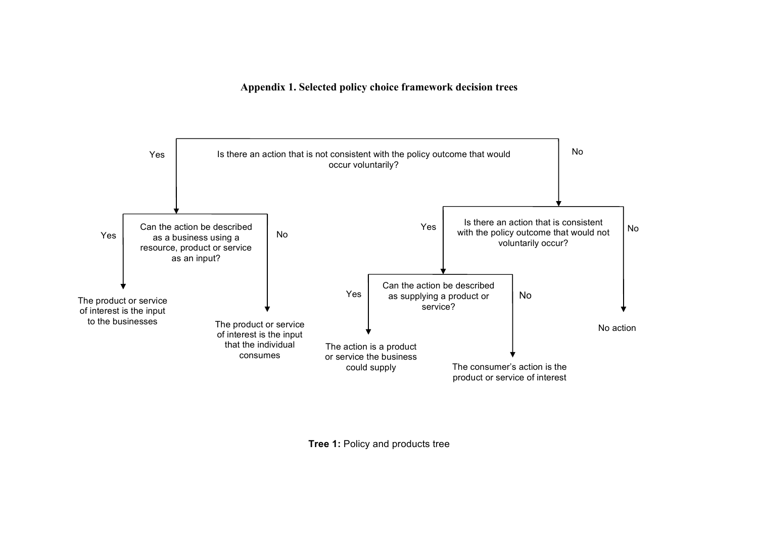# **Appendix 1. Selected policy choice framework decision trees**



**Tree 1: Policy and products tree**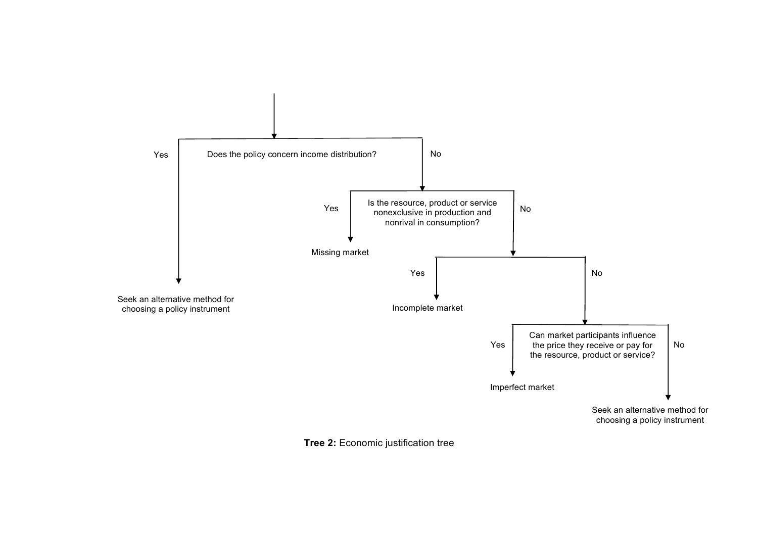

**Tree 2:** Economic justification tree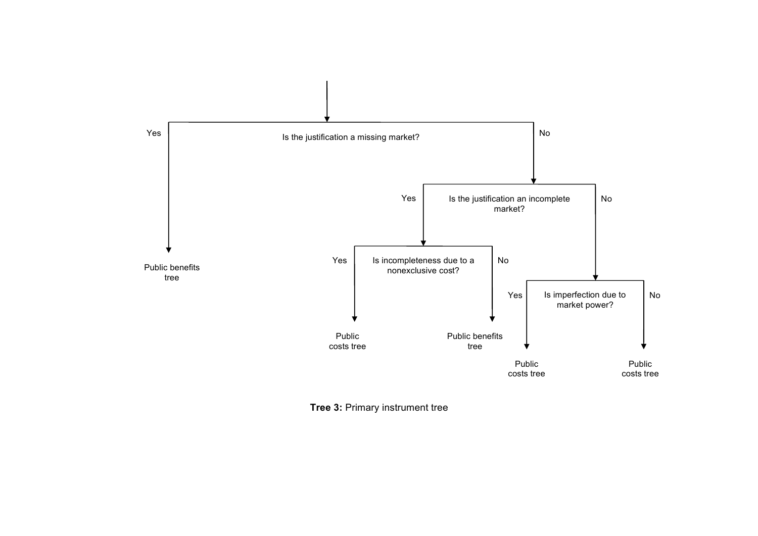

**Tree 3:** Primary instrument tree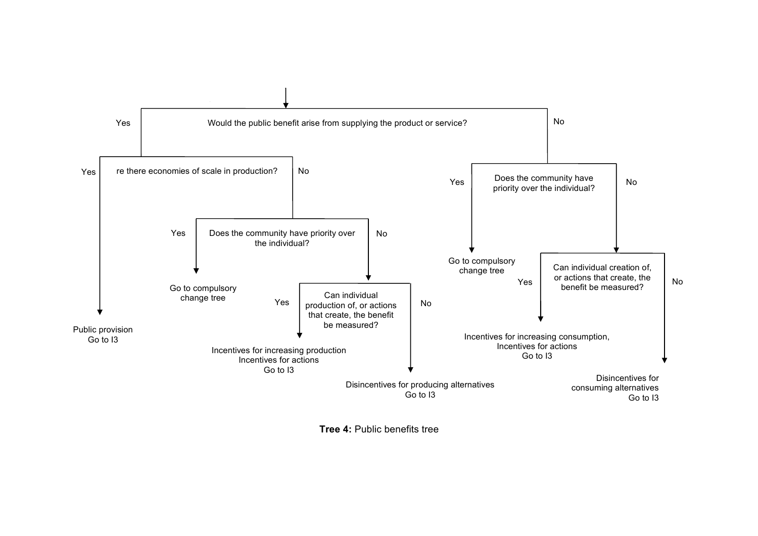

**Tree 4:** Public benefits tree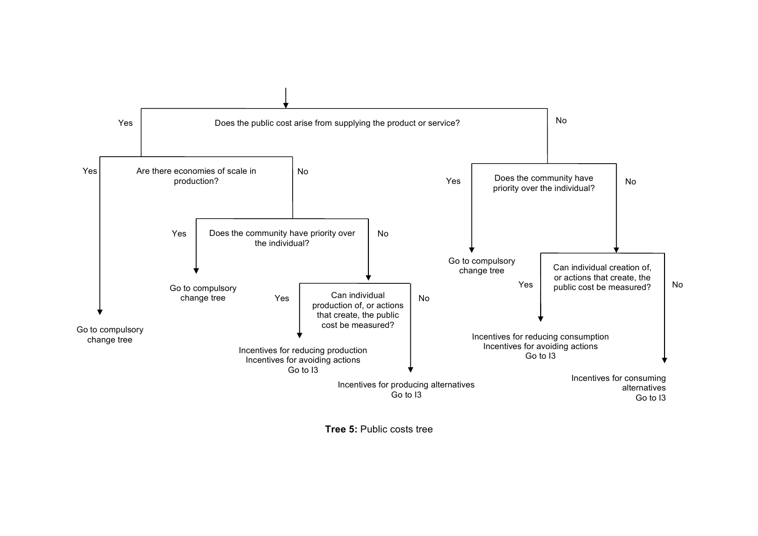

**Tree 5: Public costs tree**